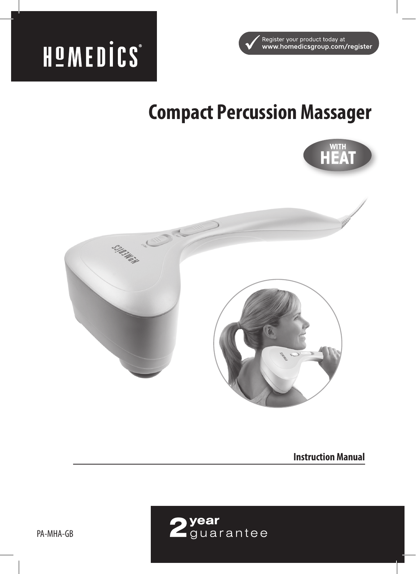



# **Compact Percussion Massager**



**Instruction Manual**

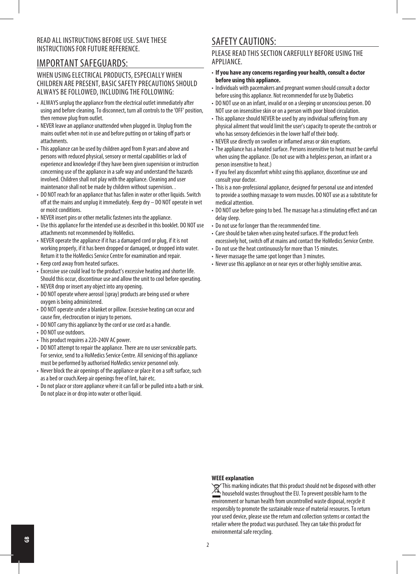#### READ ALL INSTRUCTIONS BEFORE USE. SAVE THESE INSTRUCTIONS FOR FUTURE REFERENCE.

### IMPORTANT SAFEGUARDS:

#### WHEN USING ELECTRICAL PRODUCTS, ESPECIALLY WHEN CHILDREN ARE PRESENT, BASIC SAFETY PRECAUTIONS SHOULD ALWAYS BE FOLLOWED, INCLUDING THE FOLLOWING:

- ALWAYS unplug the appliance from the electrical outlet immediately after using and before cleaning. To disconnect, turn all controls to the 'OFF' position, then remove plug from outlet.
- NEVER leave an appliance unattended when plugged in. Unplug from the mains outlet when not in use and before putting on or taking off parts or attachments.
- This appliance can be used by children aged from 8 years and above and persons with reduced physical, sensory or mental capabilities or lack of experience and knowledge if they have been given supervision or instruction concerning use of the appliance in a safe way and understand the hazards involved. Children shall not play with the appliance. Cleaning and user maintenance shall not be made by children without supervision. .
- DO NOT reach for an appliance that has fallen in water or other liquids. Switch off at the mains and unplug it immediately. Keep dry – DO NOT operate in wet or moist conditions.
- NEVER insert pins or other metallic fasteners into the appliance.
- Use this appliance for the intended use as described in this booklet. DO NOT use attachments not recommended by HoMedics.
- NEVER operate the appliance if it has a damaged cord or plug, if it is not working properly, if it has been dropped or damaged, or dropped into water. Return it to the HoMedics Service Centre for examination and repair.
- Keep cord away from heated surfaces.
- Excessive use could lead to the product's excessive heating and shorter life. Should this occur, discontinue use and allow the unit to cool before operating.
- NEVER drop or insert any object into any opening.
- DO NOT operate where aerosol (spray) products are being used or where oxygen is being administered.
- DO NOT operate under a blanket or pillow. Excessive heating can occur and cause fire, electrocution or injury to persons.
- DO NOT carry this appliance by the cord or use cord as a handle.
- DO NOT use outdoors.
- This product requires a 220-240V AC power.
- DO NOT attempt to repair the appliance. There are no user serviceable parts. For service, send to a HoMedics Service Centre. All servicing of this appliance must be performed by authorised HoMedics service personnel only.
- Never block the air openings of the appliance or place it on a soft surface, such as a bed or couch.Keep air openings free of lint, hair etc.
- Do not place or store appliance where it can fall or be pulled into a bath or sink. Do not place in or drop into water or other liquid.

## SAFETY CAUTIONS:

PLEASE READ THIS SECTION CAREFULLY BEFORE USING THE APPLIANCE.

- **If you have any concerns regarding your health, consult a doctor before using this appliance.**
- Individuals with pacemakers and pregnant women should consult a doctor before using this appliance. Not recommended for use by Diabetics
- DO NOT use on an infant, invalid or on a sleeping or unconscious person. DO NOT use on insensitive skin or on a person with poor blood circulation.
- This appliance should NEVER be used by any individual suffering from any physical ailment that would limit the user's capacity to operate the controls or who has sensory deficiencies in the lower half of their body.
- NEVER use directly on swollen or inflamed areas or skin eruptions.
- The appliance has a heated surface. Persons insensitive to heat must be careful when using the appliance. (Do not use with a helpless person, an infant or a person insensitive to heat.)
- If you feel any discomfort whilst using this appliance, discontinue use and consult your doctor.
- This is a non-professional appliance, designed for personal use and intended to provide a soothing massage to worn muscles. DO NOT use as a substitute for medical attention.
- DO NOT use before going to bed. The massage has a stimulating effect and can delay sleep.
- Do not use for longer than the recommended time.
- Care should be taken when using heated surfaces. If the product feels excessively hot, switch off at mains and contact the HoMedics Service Centre.
- Do not use the heat continuously for more than 15 minutes.
- Never massage the same spot longer than 3 minutes.
- Never use this appliance on or near eyes or other highly sensitive areas.

#### **WEEE explanation**

This marking indicates that this product should not be disposed with other household wastes throughout the EU. To prevent possible harm to the environment or human health from uncontrolled waste disposal, recycle it responsibly to promote the sustainable reuse of material resources. To return your used device, please use the return and collection systems or contact the retailer where the product was purchased. They can take this product for environmental safe recycling.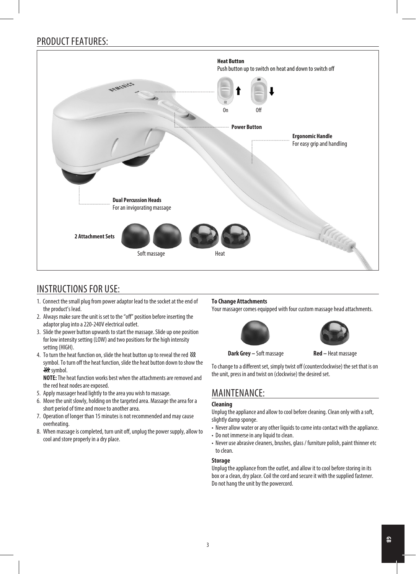# PRODUCT FEATURES:



# INSTRUCTIONS FOR USE:

- 1. Connect the small plug from power adaptor lead to the socket at the end of the product's lead.
- 2. Always make sure the unit is set to the "off" position before inserting the adaptor plug into a 220-240V electrical outlet.
- 3. Slide the power button upwards to start the massage. Slide up one position for low intensity setting (LOW) and two positions for the high intensity setting (HIGH).
- 4. To turn the heat function on, slide the heat button up to reveal the red  $\mathcal{W}$ symbol. To turn off the heat function, slide the heat button down to show the **Ht** symbol.

 **NOTE:** The heat function works best when the attachments are removed and the red heat nodes are exposed.

- 5. Apply massager head lightly to the area you wish to massage.
- 6. Move the unit slowly, holding on the targeted area. Massage the area for a short period of time and move to another area.
- 7. Operation of longer than 15 minutes is not recommended and may cause overheating.
- 8. When massage is completed, turn unit off, unplug the power supply, allow to cool and store properly in a dry place.

#### **To Change Attachments**

Your massager comes equipped with four custom massage head attachments.



#### **Dark Grey – Soft massage Red – Heat massage**

To change to a different set, simply twist off (counterclockwise) the set that is on the unit, press in and twist on (clockwise) the desired set.

# MAINTENANCE:

#### **Cleaning**

Unplug the appliance and allow to cool before cleaning. Clean only with a soft, slightly damp sponge.

- Never allow water or any other liquids to come into contact with the appliance.
- Do not immerse in any liquid to clean.
- Never use abrasive cleaners, brushes, glass / furniture polish, paint thinner etc to clean.

#### **Storage**

Unplug the appliance from the outlet, and allow it to cool before storing in its box or a clean, dry place. Coil the cord and secure it with the supplied fastener. Do not hang the unit by the powercord.

#### 3